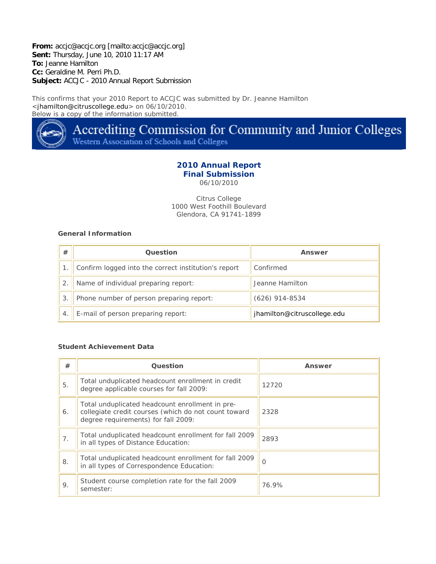**From:** accjc@accjc.org [mailto:accjc@accjc.org] **Sent:** Thursday, June 10, 2010 11:17 AM **To:** Jeanne Hamilton **Cc:** Geraldine M. Perri Ph.D. **Subject:** ACCJC - 2010 Annual Report Submission

This confirms that your 2010 Report to ACCJC was submitted by Dr. Jeanne Hamilton <jhamilton@citruscollege.edu> on 06/10/2010. Below is a copy of the information submitted.



Accrediting Commission for Community and Junior Colleges Western Association of Schools and Colleges

## **2010 Annual Report Final Submission**

06/10/2010

Citrus College 1000 West Foothill Boulevard Glendora, CA 91741-1899

## **General Information**

| #              | <b>Question</b>                                      | Answer                      |
|----------------|------------------------------------------------------|-----------------------------|
|                | Confirm logged into the correct institution's report | Confirmed                   |
| $\overline{2}$ | Name of individual preparing report:                 | Jeanne Hamilton             |
| 3              | Phone number of person preparing report:             | $(626)$ 914-8534            |
|                | E-mail of person preparing report:                   | jhamilton@citruscollege.edu |

#### **Student Achievement Data**

| #  | Question                                                                                                                                       | Answer   |
|----|------------------------------------------------------------------------------------------------------------------------------------------------|----------|
| 5. | Total unduplicated headcount enrollment in credit<br>degree applicable courses for fall 2009:                                                  | 12720    |
| 6. | Total unduplicated headcount enrollment in pre-<br>collegiate credit courses (which do not count toward<br>degree requirements) for fall 2009: | 2328     |
| 7. | Total unduplicated headcount enrollment for fall 2009<br>in all types of Distance Education:                                                   | 2893     |
| 8. | Total unduplicated headcount enrollment for fall 2009<br>in all types of Correspondence Education:                                             | $\Omega$ |
| 9. | Student course completion rate for the fall 2009<br>semester:                                                                                  | 76.9%    |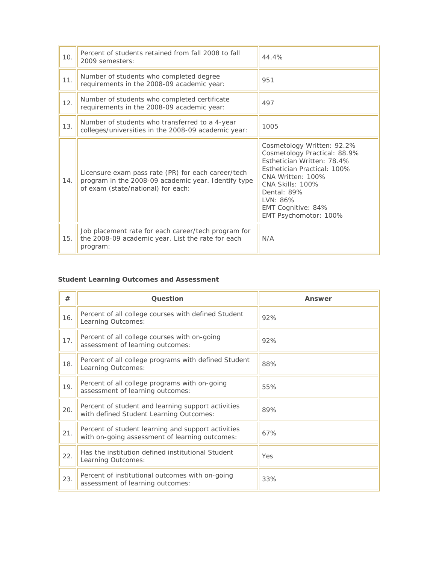| 10. | Percent of students retained from fall 2008 to fall<br>2009 semesters:                                                                          | 44.4%                                                                                                                                                                                                                                             |
|-----|-------------------------------------------------------------------------------------------------------------------------------------------------|---------------------------------------------------------------------------------------------------------------------------------------------------------------------------------------------------------------------------------------------------|
| 11. | Number of students who completed degree<br>requirements in the 2008-09 academic year:                                                           | 951                                                                                                                                                                                                                                               |
| 12. | Number of students who completed certificate<br>requirements in the 2008-09 academic year:                                                      | 497                                                                                                                                                                                                                                               |
| 13. | Number of students who transferred to a 4-year<br>colleges/universities in the 2008-09 academic year:                                           | 1005                                                                                                                                                                                                                                              |
| 14. | Licensure exam pass rate (PR) for each career/tech<br>program in the 2008-09 academic year. Identify type<br>of exam (state/national) for each: | Cosmetology Written: 92.2%<br>Cosmetology Practical: 88.9%<br>Esthetician Written: 78.4%<br>Esthetician Practical: 100%<br>CNA Written: 100%<br><b>CNA Skills: 100%</b><br>Dental: 89%<br>LVN: 86%<br>EMT Cognitive: 84%<br>EMT Psychomotor: 100% |
| 15. | Job placement rate for each career/tech program for<br>the 2008-09 academic year. List the rate for each<br>program:                            | N/A                                                                                                                                                                                                                                               |

# **Student Learning Outcomes and Assessment**

| #   | Question                                                                                             | Answer |
|-----|------------------------------------------------------------------------------------------------------|--------|
| 16. | Percent of all college courses with defined Student<br>Learning Outcomes:                            | 92%    |
| 17. | Percent of all college courses with on-going<br>assessment of learning outcomes:                     | 92%    |
| 18. | Percent of all college programs with defined Student<br>Learning Outcomes:                           | 88%    |
| 19. | Percent of all college programs with on-going<br>assessment of learning outcomes:                    | 55%    |
| 20. | Percent of student and learning support activities<br>with defined Student Learning Outcomes:        | 89%    |
| 21. | Percent of student learning and support activities<br>with on-going assessment of learning outcomes: | 67%    |
| 22. | Has the institution defined institutional Student<br>Learning Outcomes:                              | Yes    |
| 23. | Percent of institutional outcomes with on-going<br>assessment of learning outcomes:                  | 33%    |